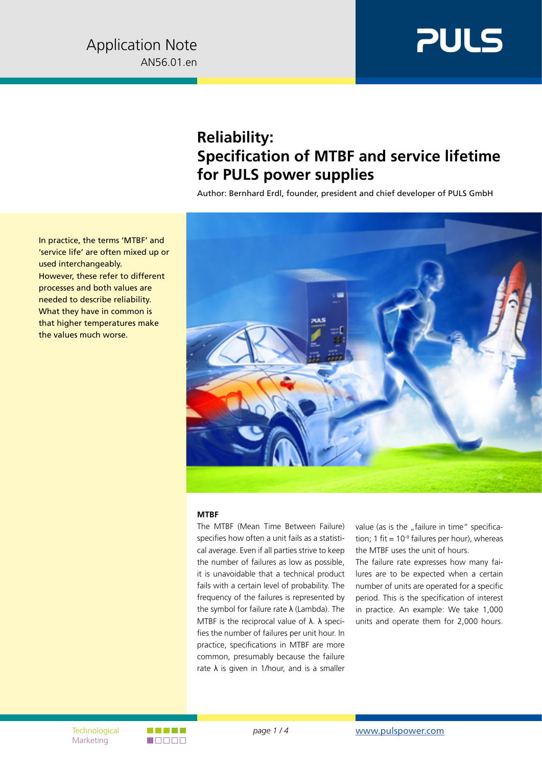

## **Reliability: Specification of MTBF and service lifetime for PULS power supplies**

Author: Bernhard Erdl, founder, president and chief developer of PULS GmbH



## **MTBF**

The MTBF (Mean Time Between Failure) specifies how often a unit fails as a statistical average. Even if all parties strive to keep the number of failures as low as possible, it is unavoidable that a technical product fails with a certain level of probability. The frequency of the failures is represented by the symbol for failure rate  $\lambda$  (Lambda). The MTBF is the reciprocal value of  $\lambda$ .  $\lambda$  specifies the number of failures per unit hour. In practice, specifications in MTBF are more common, presumably because the failure rate  $\lambda$  is given in 1/hour, and is a smaller

value (as is the "failure in time" specification; 1 fit =  $10<sup>-9</sup>$  failures per hour), whereas the MTBF uses the unit of hours.

The failure rate expresses how many failures are to be expected when a certain number of units are operated for a specific period. This is the specification of interest in practice. An example: We take 1,000 units and operate them for 2,000 hours.

In practice, the terms 'MTBF' and 'service life' are often mixed up or used interchangeably. However, these refer to different processes and both values are needed to describe reliability. What they have in common is that higher temperatures make the values much worse.

Marketing

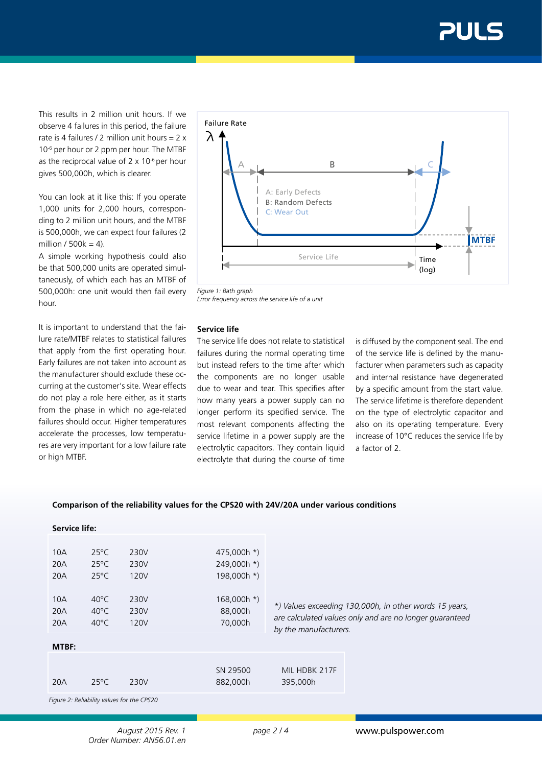This results in 2 million unit hours. If we observe 4 failures in this period, the failure rate is 4 failures / 2 million unit hours =  $2 \times$ 10-6 per hour or 2 ppm per hour. The MTBF as the reciprocal value of  $2 \times 10^{-6}$  per hour gives 500,000h, which is clearer.

You can look at it like this: If you operate 1,000 units for 2,000 hours, corresponding to 2 million unit hours, and the MTBF is 500,000h, we can expect four failures (2 million /  $500k = 4$ ).

A simple working hypothesis could also be that 500,000 units are operated simultaneously, of which each has an MTBF of 500,000h: one unit would then fail every hour.

It is important to understand that the failure rate/MTBF relates to statistical failures that apply from the first operating hour. Early failures are not taken into account as the manufacturer should exclude these occurring at the customer's site. Wear effects do not play a role here either, as it starts from the phase in which no age-related failures should occur. Higher temperatures accelerate the processes, low temperatures are very important for a low failure rate or high MTBF.



*Figure 1: Bath graph Error frequency across the service life of a unit*

## **Service life**

The service life does not relate to statistical failures during the normal operating time but instead refers to the time after which the components are no longer usable due to wear and tear. This specifies after how many years a power supply can no longer perform its specified service. The most relevant components affecting the service lifetime in a power supply are the electrolytic capacitors. They contain liquid electrolyte that during the course of time

is diffused by the component seal. The end of the service life is defined by the manufacturer when parameters such as capacity and internal resistance have degenerated by a specific amount from the start value. The service lifetime is therefore dependent on the type of electrolytic capacitor and also on its operating temperature. Every increase of 10°C reduces the service life by a factor of 2.

## **Comparison of the reliability values for the CPS20 with 24V/20A under various conditions**

| <b>Service life:</b>                       |                |      |               |                                                        |                                                         |
|--------------------------------------------|----------------|------|---------------|--------------------------------------------------------|---------------------------------------------------------|
|                                            |                |      |               |                                                        |                                                         |
| 10A                                        | $25^{\circ}$ C | 230V | 475,000h *)   |                                                        |                                                         |
| 20A                                        | $25^{\circ}$ C | 230V | 249,000h *)   |                                                        |                                                         |
| 20A                                        | $25^{\circ}$ C | 120V | 198,000h *)   |                                                        |                                                         |
|                                            |                |      |               |                                                        |                                                         |
| 10A                                        | $40^{\circ}$ C | 230V | $168,000h$ *) |                                                        |                                                         |
| 20A                                        | $40^{\circ}$ C | 230V | 88,000h       | *) Values exceeding 130,000h, in other words 15 years, |                                                         |
| 20A                                        | $40^{\circ}$ C | 120V | 70,000h       |                                                        | are calculated values only and are no longer quaranteed |
|                                            |                |      |               | by the manufacturers.                                  |                                                         |
| MTBF:                                      |                |      |               |                                                        |                                                         |
|                                            |                |      |               |                                                        |                                                         |
|                                            |                |      | SN 29500      | MIL HDBK 217F                                          |                                                         |
| 20A                                        | $25^{\circ}$ C | 230V | 882,000h      | 395,000h                                               |                                                         |
| Figure 2: Reliability values for the CPS20 |                |      |               |                                                        |                                                         |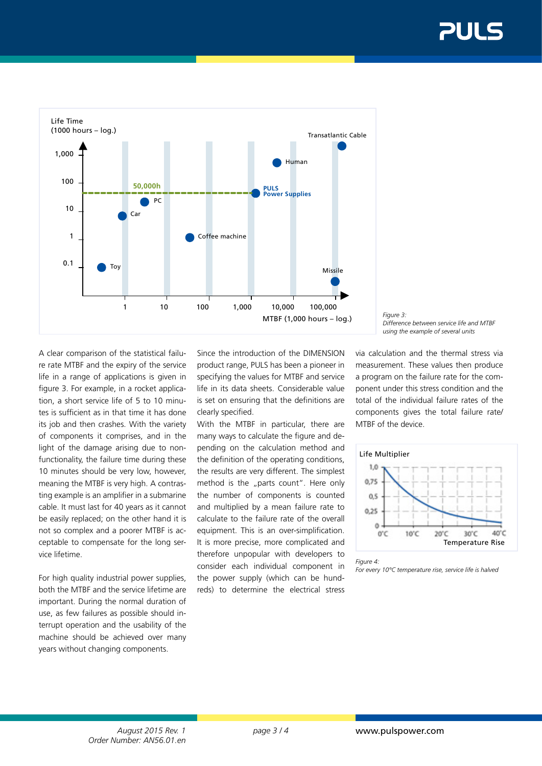

A clear comparison of the statistical failure rate MTBF and the expiry of the service life in a range of applications is given in figure 3. For example, in a rocket application, a short service life of 5 to 10 minutes is sufficient as in that time it has done its job and then crashes. With the variety of components it comprises, and in the light of the damage arising due to nonfunctionality, the failure time during these 10 minutes should be very low, however, meaning the MTBF is very high. A contrasting example is an amplifier in a submarine cable. It must last for 40 years as it cannot be easily replaced; on the other hand it is not so complex and a poorer MTBF is acceptable to compensate for the long service lifetime.

For high quality industrial power supplies, both the MTBF and the service lifetime are important. During the normal duration of use, as few failures as possible should interrupt operation and the usability of the machine should be achieved over many years without changing components.

Since the introduction of the DIMENSION product range, PULS has been a pioneer in specifying the values for MTBF and service life in its data sheets. Considerable value is set on ensuring that the definitions are clearly specified.

With the MTBF in particular, there are many ways to calculate the figure and depending on the calculation method and the definition of the operating conditions, the results are very different. The simplest method is the "parts count". Here only the number of components is counted and multiplied by a mean failure rate to calculate to the failure rate of the overall equipment. This is an over-simplification. It is more precise, more complicated and therefore unpopular with developers to consider each individual component in the power supply (which can be hundreds) to determine the electrical stress

*Figure 3: Difference between service life and MTBF using the example of several units*

via calculation and the thermal stress via measurement. These values then produce a program on the failure rate for the component under this stress condition and the total of the individual failure rates of the components gives the total failure rate/ MTBF of the device.



*Figure 4:* 

*For every 10°C temperature rise, service life is halved*